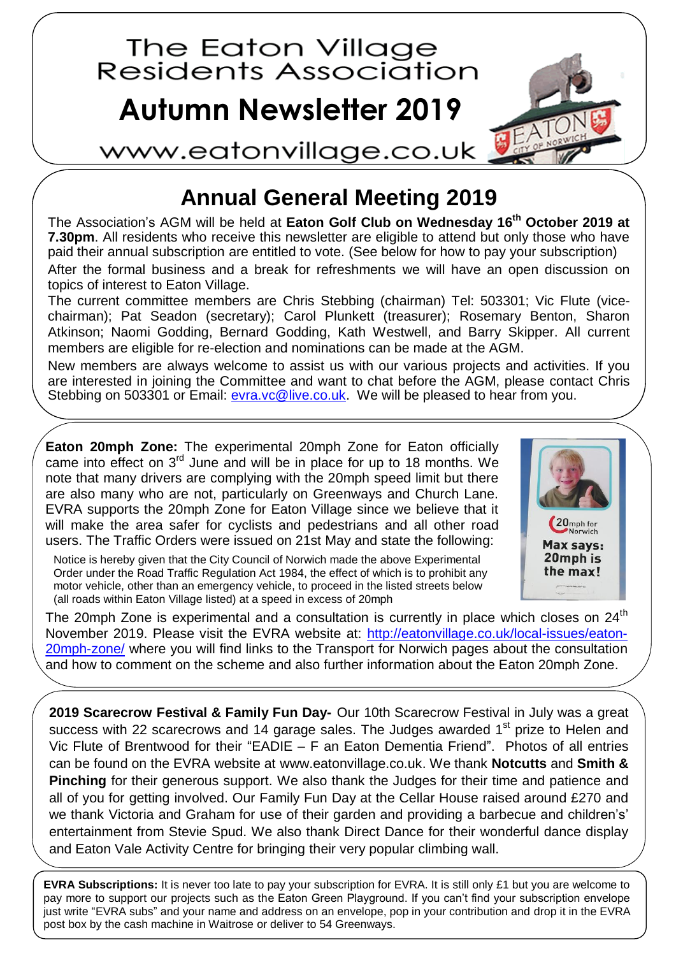

## **Annual General Meeting 2019**

The Association's AGM will be held at **Eaton Golf Club on Wednesday 16 th October 2019 at 7.30pm**. All residents who receive this newsletter are eligible to attend but only those who have paid their annual subscription are entitled to vote. (See below for how to pay your subscription) After the formal business and a break for refreshments we will have an open discussion on topics of interest to Eaton Village.

The current committee members are Chris Stebbing (chairman) Tel: 503301; Vic Flute (vicechairman); Pat Seadon (secretary); Carol Plunkett (treasurer); Rosemary Benton, Sharon Atkinson; Naomi Godding, Bernard Godding, Kath Westwell, and Barry Skipper. All current members are eligible for re-election and nominations can be made at the AGM.

New members are always welcome to assist us with our various projects and activities. If you are interested in joining the Committee and want to chat before the AGM, please contact Chris Stebbing on 503301 or Email: [evra.vc@live.co.uk.](evra.vc@live.co.uk) We will be pleased to hear from you.

**Eaton 20mph Zone:** The experimental 20mph Zone for Eaton officially came into effect on 3<sup>rd</sup> June and will be in place for up to 18 months. We note that many drivers are complying with the 20mph speed limit but there are also many who are not, particularly on Greenways and Church Lane. EVRA supports the 20mph Zone for Eaton Village since we believe that it will make the area safer for cyclists and pedestrians and all other road users. The Traffic Orders were issued on 21st May and state the following:

Notice is hereby given that the City Council of Norwich made the above Experimental Order under the Road Traffic Regulation Act 1984, the effect of which is to prohibit any motor vehicle, other than an emergency vehicle, to proceed in the listed streets below (all roads within Eaton Village listed) at a speed in excess of 20mph



The 20mph Zone is experimental and a consultation is currently in place which closes on  $24<sup>th</sup>$ November 2019. Please visit the EVRA website at: [http://eatonvillage.co.uk/local-issues/eaton-](http://eatonvillage.co.uk/local-issues/eaton-20mph-zone/)[20mph-zone/](http://eatonvillage.co.uk/local-issues/eaton-20mph-zone/) where you will find links to the Transport for Norwich pages about the consultation and how to comment on the scheme and also further information about the Eaton 20mph Zone.

**2019 Scarecrow Festival & Family Fun Day-** Our 10th Scarecrow Festival in July was a great success with 22 scarecrows and 14 garage sales. The Judges awarded 1<sup>st</sup> prize to Helen and Vic Flute of Brentwood for their "EADIE – F an Eaton Dementia Friend". Photos of all entries can be found on the EVRA website at [www.eatonvillage.co.uk.](http://www.eatonvillage.co.uk/) We thank **Notcutts** and **Smith & Pinching** for their generous support. We also thank the Judges for their time and patience and all of you for getting involved. Our Family Fun Day at the Cellar House raised around £270 and we thank Victoria and Graham for use of their garden and providing a barbecue and children's' entertainment from Stevie Spud. We also thank Direct Dance for their wonderful dance display and Eaton Vale Activity Centre for bringing their very popular climbing wall.

**EVRA Subscriptions:** It is never too late to pay your subscription for EVRA. It is still only £1 but you are welcome to pay more to support our projects such as the Eaton Green Playground. If you can't find your subscription envelope just write "EVRA subs" and your name and address on an envelope, pop in your contribution and drop it in the EVRA post box by the cash machine in Waitrose or deliver to 54 Greenways.